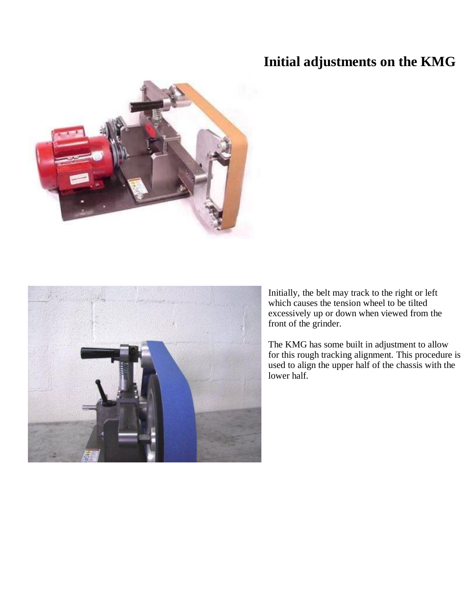## **Initial adjustments on the KMG**





Initially, the belt may track to the right or left which causes the tension wheel to be tilted excessively up or down when viewed from the front of the grinder.

The KMG has some built in adjustment to allow for this rough tracking alignment. This procedure is used to align the upper half of the chassis with the lower half.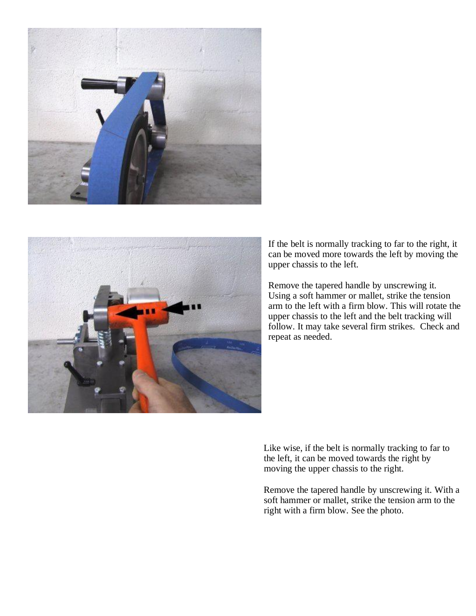



If the belt is normally tracking to far to the right, it can be moved more towards the left by moving the upper chassis to the left.

Remove the tapered handle by unscrewing it. Using a soft hammer or mallet, strike the tension arm to the left with a firm blow. This will rotate the upper chassis to the left and the belt tracking will follow. It may take several firm strikes. Check and repeat as needed.

Like wise, if the belt is normally tracking to far to the left, it can be moved towards the right by moving the upper chassis to the right.

Remove the tapered handle by unscrewing it. With a soft hammer or mallet, strike the tension arm to the right with a firm blow. See the photo.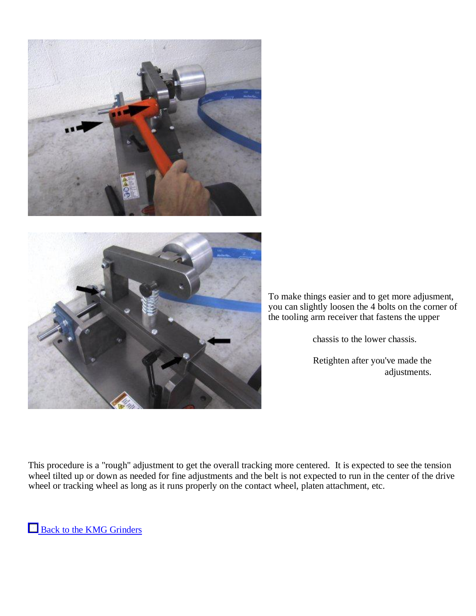



To make things easier and to get more adjusment, you can slightly loosen the 4 bolts on the corner of the tooling arm receiver that fastens the upper

chassis to the lower chassis.

Retighten after you've made the adjustments.

This procedure is a "rough" adjustment to get the overall tracking more centered. It is expected to see the tension wheel tilted up or down as needed for fine adjustments and the belt is not expected to run in the center of the drive wheel or tracking wheel as long as it runs properly on the contact wheel, platen attachment, etc.

Back to the KMG Grinders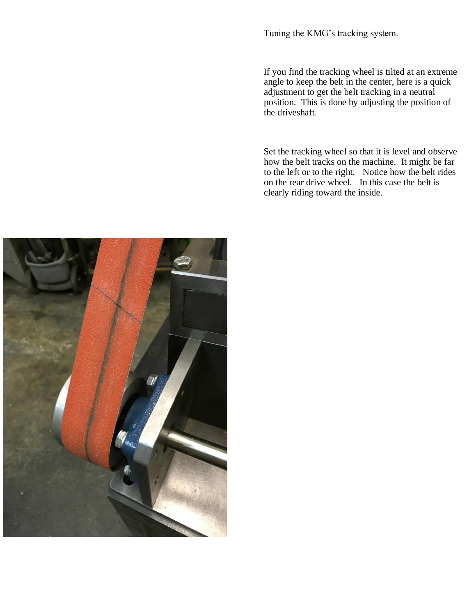Tuning the KMG's tracking system.

If you find the tracking wheel is tilted at an extreme angle to keep the belt in the center, here is a quick adjustment to get the belt tracking in a neutral position. This is done by adjusting the position of the driveshaft.

Set the tracking wheel so that it is level and observe how the belt tracks on the machine. It might be far to the left or to the right. Notice how the belt rides on the rear drive wheel. In this case the belt is clearly riding toward the inside.

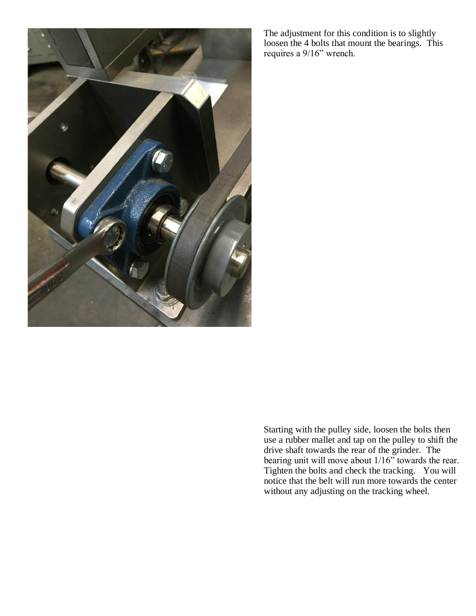

The adjustment for this condition is to slightly loosen the 4 bolts that mount the bearings. This requires a 9/16" wrench.

Starting with the pulley side, loosen the bolts then use a rubber mallet and tap on the pulley to shift the drive shaft towards the rear of the grinder. The bearing unit will move about  $1/16$ " towards the rear. Tighten the bolts and check the tracking. You will notice that the belt will run more towards the center without any adjusting on the tracking wheel.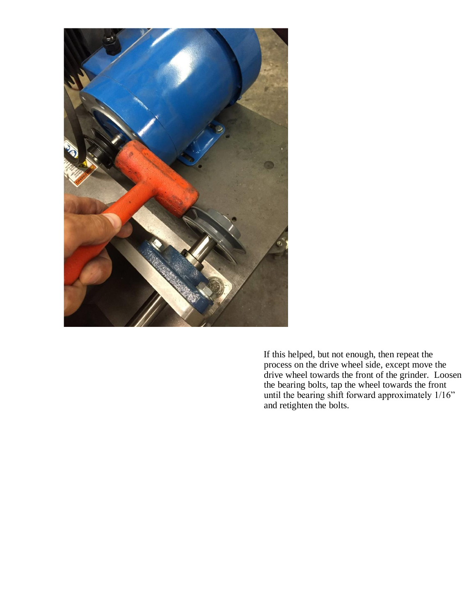

If this helped, but not enough, then repeat the process on the drive wheel side, except move the drive wheel towards the front of the grinder. Loosen the bearing bolts, tap the wheel towards the front until the bearing shift forward approximately 1/16" and retighten the bolts.